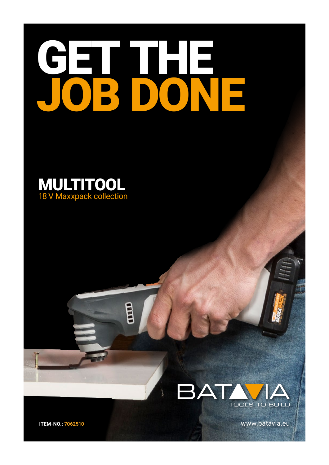## CHI  $\overline{\phantom{a}}$ ۳  $\overline{a}$ R

E





www.batavia.eu

**ITEM-NO.: 7062510**